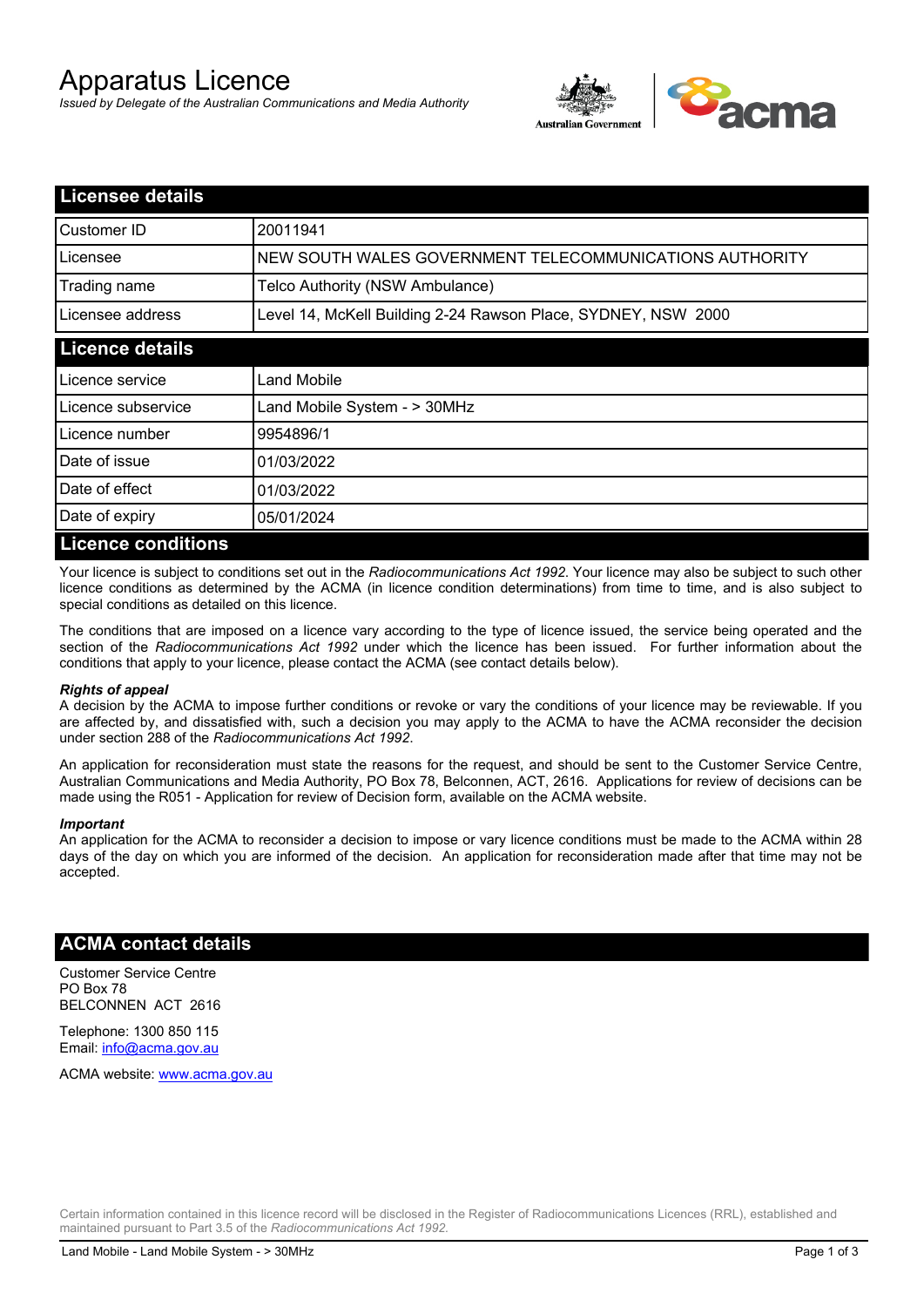# Apparatus Licence

*Issued by Delegate of the Australian Communications and Media Authority*



| <b>Licensee details</b>   |                                                               |  |
|---------------------------|---------------------------------------------------------------|--|
| Customer ID               | 20011941                                                      |  |
| Licensee                  | NEW SOUTH WALES GOVERNMENT TELECOMMUNICATIONS AUTHORITY       |  |
| Trading name              | Telco Authority (NSW Ambulance)                               |  |
| Licensee address          | Level 14, McKell Building 2-24 Rawson Place, SYDNEY, NSW 2000 |  |
| <b>Licence details</b>    |                                                               |  |
| Licence service           | Land Mobile                                                   |  |
| Licence subservice        | Land Mobile System - > 30MHz                                  |  |
| Licence number            | 9954896/1                                                     |  |
| Date of issue             | 01/03/2022                                                    |  |
| Date of effect            | 01/03/2022                                                    |  |
| Date of expiry            | 05/01/2024                                                    |  |
| <b>Licence conditions</b> |                                                               |  |

Your licence is subject to conditions set out in the *Radiocommunications Act 1992*. Your licence may also be subject to such other licence conditions as determined by the ACMA (in licence condition determinations) from time to time, and is also subject to special conditions as detailed on this licence.

The conditions that are imposed on a licence vary according to the type of licence issued, the service being operated and the section of the *Radiocommunications Act 1992* under which the licence has been issued. For further information about the conditions that apply to your licence, please contact the ACMA (see contact details below).

#### *Rights of appeal*

A decision by the ACMA to impose further conditions or revoke or vary the conditions of your licence may be reviewable. If you are affected by, and dissatisfied with, such a decision you may apply to the ACMA to have the ACMA reconsider the decision under section 288 of the *Radiocommunications Act 1992*.

An application for reconsideration must state the reasons for the request, and should be sent to the Customer Service Centre, Australian Communications and Media Authority, PO Box 78, Belconnen, ACT, 2616. Applications for review of decisions can be made using the R051 - Application for review of Decision form, available on the ACMA website.

#### *Important*

An application for the ACMA to reconsider a decision to impose or vary licence conditions must be made to the ACMA within 28 days of the day on which you are informed of the decision. An application for reconsideration made after that time may not be accepted.

### **ACMA contact details**

Customer Service Centre PO Box 78 BELCONNEN ACT 2616

Telephone: 1300 850 115 Email: info@acma.gov.au

ACMA website: www.acma.gov.au

Certain information contained in this licence record will be disclosed in the Register of Radiocommunications Licences (RRL), established and maintained pursuant to Part 3.5 of the *Radiocommunications Act 1992.*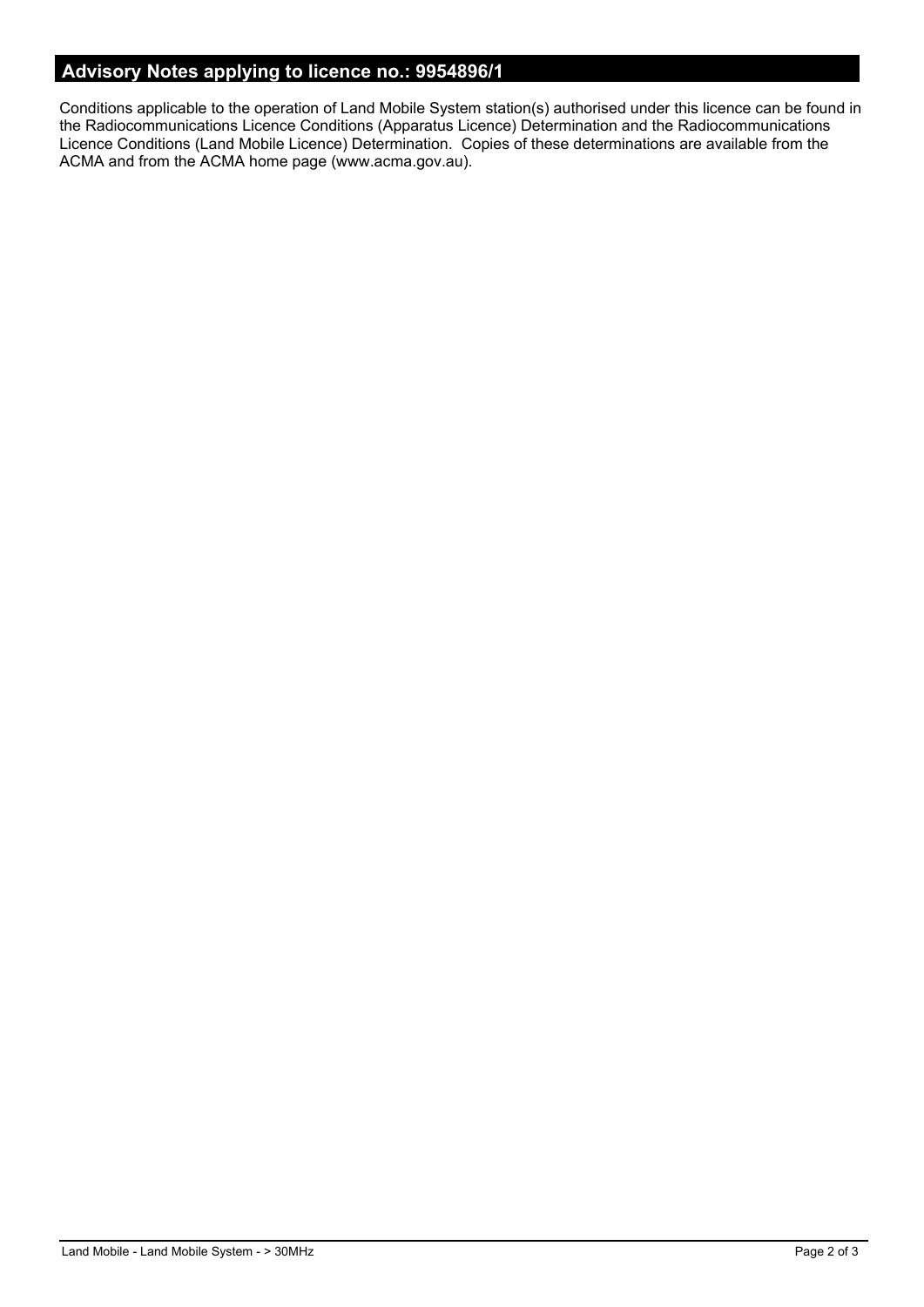# **Advisory Notes applying to licence no.: 9954896/1**

Conditions applicable to the operation of Land Mobile System station(s) authorised under this licence can be found in the Radiocommunications Licence Conditions (Apparatus Licence) Determination and the Radiocommunications Licence Conditions (Land Mobile Licence) Determination. Copies of these determinations are available from the ACMA and from the ACMA home page (www.acma.gov.au).